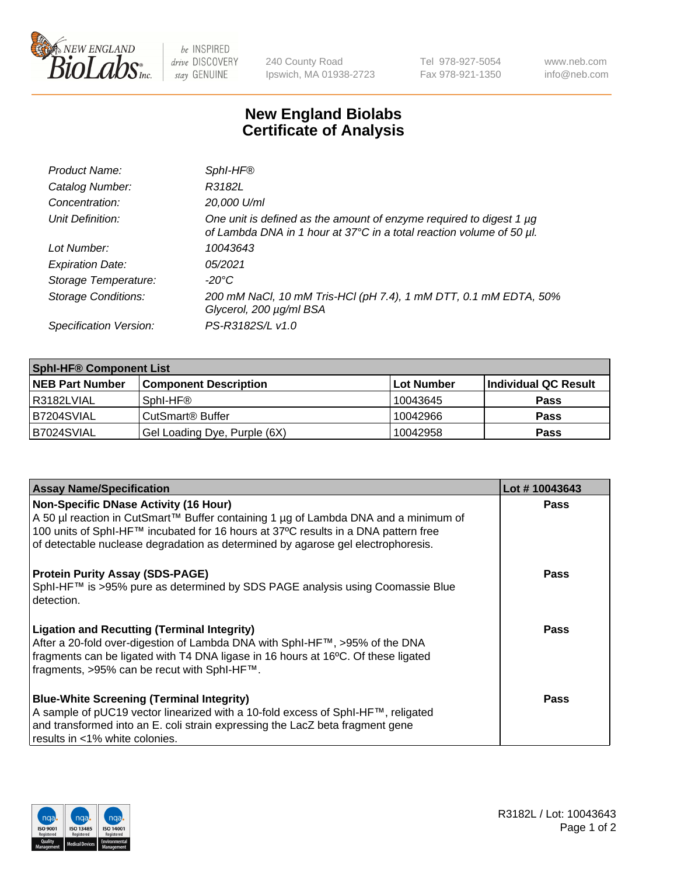

 $be$  INSPIRED drive DISCOVERY stay GENUINE

240 County Road Ipswich, MA 01938-2723 Tel 978-927-5054 Fax 978-921-1350 www.neb.com info@neb.com

## **New England Biolabs Certificate of Analysis**

| Product Name:              | Sphl-HF®                                                                                                                                         |
|----------------------------|--------------------------------------------------------------------------------------------------------------------------------------------------|
| Catalog Number:            | R3182L                                                                                                                                           |
| Concentration:             | 20,000 U/ml                                                                                                                                      |
| Unit Definition:           | One unit is defined as the amount of enzyme required to digest 1 $\mu$ g<br>of Lambda DNA in 1 hour at 37°C in a total reaction volume of 50 µl. |
| Lot Number:                | 10043643                                                                                                                                         |
| <b>Expiration Date:</b>    | 05/2021                                                                                                                                          |
| Storage Temperature:       | -20°C                                                                                                                                            |
| <b>Storage Conditions:</b> | 200 mM NaCl, 10 mM Tris-HCl (pH 7.4), 1 mM DTT, 0.1 mM EDTA, 50%<br>Glycerol, 200 µg/ml BSA                                                      |
| Specification Version:     | PS-R3182S/L v1.0                                                                                                                                 |

| <b>Sphi-HF® Component List</b> |                              |            |                      |  |  |
|--------------------------------|------------------------------|------------|----------------------|--|--|
| <b>NEB Part Number</b>         | <b>Component Description</b> | Lot Number | Individual QC Result |  |  |
| I R3182LVIAL                   | Sphl-HF <sup>®</sup>         | 10043645   | <b>Pass</b>          |  |  |
| B7204SVIAL                     | CutSmart <sup>®</sup> Buffer | 10042966   | <b>Pass</b>          |  |  |
| B7024SVIAL                     | Gel Loading Dye, Purple (6X) | 10042958   | <b>Pass</b>          |  |  |

| <b>Assay Name/Specification</b>                                                     | Lot #10043643 |
|-------------------------------------------------------------------------------------|---------------|
| <b>Non-Specific DNase Activity (16 Hour)</b>                                        | <b>Pass</b>   |
| A 50 µl reaction in CutSmart™ Buffer containing 1 µg of Lambda DNA and a minimum of |               |
| 100 units of Sphl-HF™ incubated for 16 hours at 37°C results in a DNA pattern free  |               |
| of detectable nuclease degradation as determined by agarose gel electrophoresis.    |               |
| <b>Protein Purity Assay (SDS-PAGE)</b>                                              | <b>Pass</b>   |
| SphI-HF™ is >95% pure as determined by SDS PAGE analysis using Coomassie Blue       |               |
| detection.                                                                          |               |
|                                                                                     |               |
| <b>Ligation and Recutting (Terminal Integrity)</b>                                  | Pass          |
| After a 20-fold over-digestion of Lambda DNA with SphI-HF™, >95% of the DNA         |               |
| fragments can be ligated with T4 DNA ligase in 16 hours at 16°C. Of these ligated   |               |
| fragments, >95% can be recut with SphI-HF™.                                         |               |
| <b>Blue-White Screening (Terminal Integrity)</b>                                    | <b>Pass</b>   |
| A sample of pUC19 vector linearized with a 10-fold excess of SphI-HF™, religated    |               |
| and transformed into an E. coli strain expressing the LacZ beta fragment gene       |               |
| results in <1% white colonies.                                                      |               |